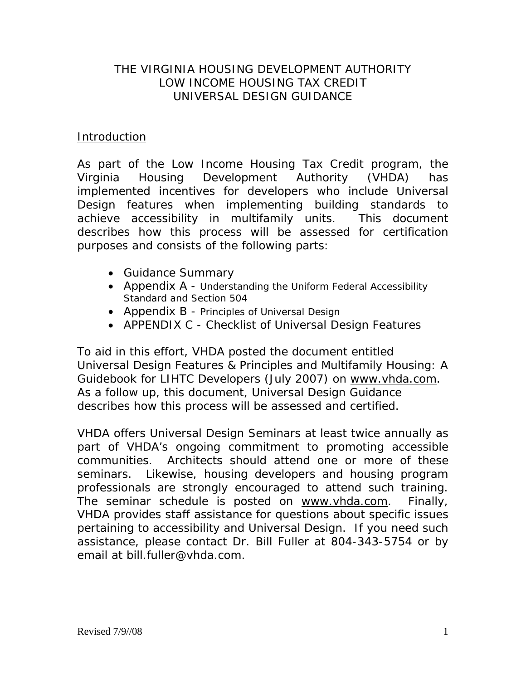# THE VIRGINIA HOUSING DEVELOPMENT AUTHORITY LOW INCOME HOUSING TAX CREDIT UNIVERSAL DESIGN GUIDANCE

# Introduction

As part of the Low Income Housing Tax Credit program, the Virginia Housing Development Authority (VHDA) has implemented incentives for developers who include Universal Design features when implementing building standards to achieve accessibility in multifamily units. This document describes how this process will be assessed for certification purposes and consists of the following parts:

- Guidance Summary
- Appendix A Understanding the Uniform Federal Accessibility Standard and Section 504
- Appendix B Principles of Universal Design
- APPENDIX C Checklist of Universal Design Features

To aid in this effort, VHDA posted the document entitled *Universal Design Features & Principles and Multifamily Housing: A Guidebook for LIHTC Developers* (July 2007) on www.vhda.com. As a follow up, this document, *Universal Design Guidance* describes how this process will be assessed and certified.

VHDA offers Universal Design Seminars at least twice annually as part of VHDA's ongoing commitment to promoting accessible communities. Architects should attend one or more of these seminars. Likewise, housing developers and housing program professionals are strongly encouraged to attend such training. The seminar schedule is posted on www.vhda.com. Finally, VHDA provides staff assistance for questions about specific issues pertaining to accessibility and Universal Design. If you need such assistance, please contact Dr. Bill Fuller at 804-343-5754 or by email at bill.fuller@vhda.com.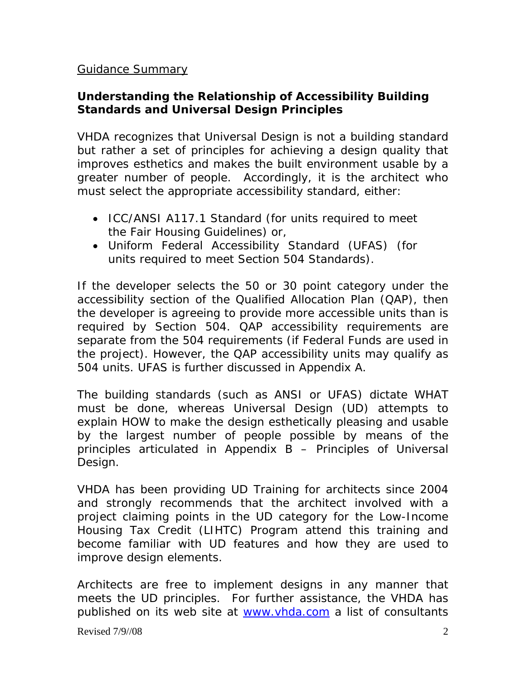# Guidance Summary

# *Understanding the Relationship of Accessibility Building Standards and Universal Design Principles*

VHDA recognizes that Universal Design is not a building standard but rather a set of principles for achieving a design quality that improves esthetics and makes the built environment usable by a greater number of people. Accordingly, it is the architect who must select the appropriate accessibility standard, either:

- ICC/ANSI A117.1 Standard (for units required to meet the Fair Housing Guidelines) or,
- Uniform Federal Accessibility Standard (UFAS) (for units required to meet Section 504 Standards).

If the developer selects the 50 or 30 point category under the accessibility section of the Qualified Allocation Plan (QAP), then the developer is agreeing to provide more accessible units than is required by Section 504. QAP accessibility requirements are separate from the 504 requirements (if Federal Funds are used in the project). However, the QAP accessibility units may qualify as 504 units. UFAS is further discussed in Appendix A.

The building standards (such as ANSI or UFAS) dictate WHAT must be done, whereas Universal Design (UD) attempts to explain HOW to make the design esthetically pleasing and usable by the largest number of people possible by means of the principles articulated in Appendix B – Principles of Universal Design.

VHDA has been providing UD Training for architects since 2004 and strongly recommends that the architect involved with a project claiming points in the UD category for the Low-Income Housing Tax Credit (LIHTC) Program attend this training and become familiar with UD features and how they are used to improve design elements.

Architects are free to implement designs in any manner that meets the UD principles. For further assistance, the VHDA has published on its web site at [www.vhda.com](http://www.vhda.com/) a list of consultants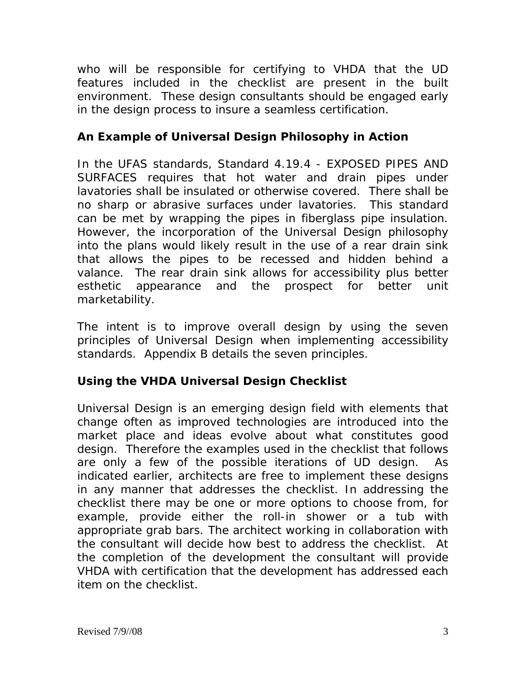who will be responsible for certifying to VHDA that the UD features included in the checklist are present in the built environment. These design consultants should be engaged early in the design process to insure a seamless certification.

# *An Example of Universal Design Philosophy in Action*

In the UFAS standards, Standard 4.19.4 - EXPOSED PIPES AND SURFACES requires that hot water and drain pipes under lavatories shall be insulated or otherwise covered. There shall be no sharp or abrasive surfaces under lavatories. This standard can be met by wrapping the pipes in fiberglass pipe insulation. However, the incorporation of the Universal Design philosophy into the plans would likely result in the use of a rear drain sink that allows the pipes to be recessed and hidden behind a valance. The rear drain sink allows for accessibility plus better esthetic appearance and the prospect for better unit marketability.

The intent is to improve overall design by using the seven principles of Universal Design when implementing accessibility standards. Appendix B details the seven principles.

# *Using the VHDA Universal Design Checklist*

Universal Design is an emerging design field with elements that change often as improved technologies are introduced into the market place and ideas evolve about what constitutes good design. Therefore the examples used in the checklist that follows are only a few of the possible iterations of UD design. As indicated earlier, architects are free to implement these designs in any manner that addresses the checklist. In addressing the checklist there may be one or more options to choose from, for example, provide either the roll-in shower or a tub with appropriate grab bars. The architect working in collaboration with the consultant will decide how best to address the checklist. At the completion of the development the consultant will provide VHDA with certification that the development has addressed each item on the checklist.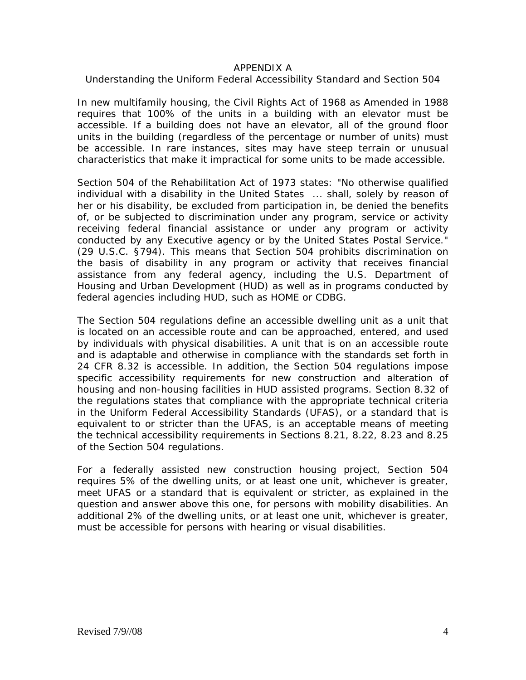#### APPENDIX A

#### Understanding the Uniform Federal Accessibility Standard and Section 504

In new multifamily housing, the Civil Rights Act of 1968 as Amended in 1988 requires that 100% of the units in a building with an elevator must be accessible. If a building does not have an elevator, all of the ground floor units in the building (regardless of the percentage or number of units) must be accessible. In rare instances, sites may have steep terrain or unusual characteristics that make it impractical for some units to be made accessible.

Section 504 of the Rehabilitation Act of 1973 states: "No otherwise qualified individual with a disability in the United States ... shall, solely by reason of her or his disability, be excluded from participation in, be denied the benefits of, or be subjected to discrimination under any program, service or activity receiving federal financial assistance or under any program or activity conducted by any Executive agency or by the United States Postal Service." (29 U.S.C. §794). This means that Section 504 prohibits discrimination on the basis of disability in any program or activity that receives financial assistance from any federal agency, including the U.S. Department of Housing and Urban Development (HUD) as well as in programs conducted by federal agencies including HUD, such as HOME or CDBG.

The Section 504 regulations define an accessible dwelling unit as a unit that is located on an accessible route and can be approached, entered, and used by individuals with physical disabilities. A unit that is on an accessible route and is adaptable and otherwise in compliance with the standards set forth in 24 CFR 8.32 is accessible. In addition, the Section 504 regulations impose specific accessibility requirements for new construction and alteration of housing and non-housing facilities in HUD assisted programs. Section 8.32 of the regulations states that compliance with the appropriate technical criteria in the [Uniform Federal Accessibility Standards \(UFAS\),](http://www.hud.gov/utilities/intercept.cfm?http://www.access-board.gov/ufas/ufas-html/ufas.htm) or a standard that is equivalent to or stricter than the UFAS, is an acceptable means of meeting the technical accessibility requirements in Sections 8.21, 8.22, 8.23 and 8.25 of the Section 504 regulations.

For a federally assisted new construction housing project, Section 504 requires 5% of the dwelling units, or at least one unit, whichever is greater, meet UFAS or a standard that is equivalent or stricter, as explained in the question and answer above this one, for persons with mobility disabilities. An additional 2% of the dwelling units, or at least one unit, whichever is greater, must be accessible for persons with hearing or visual disabilities.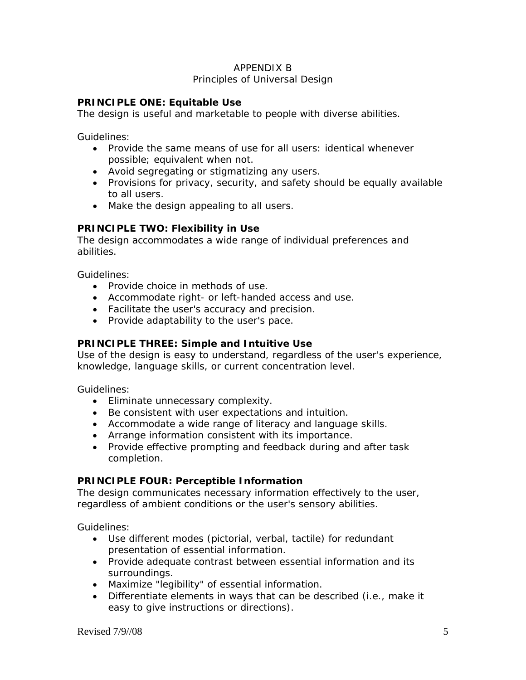# APPENDIX B

#### Principles of Universal Design

#### **PRINCIPLE ONE: Equitable Use**

The design is useful and marketable to people with diverse abilities.

Guidelines:

- Provide the same means of use for all users: identical whenever possible; equivalent when not.
- Avoid segregating or stigmatizing any users.
- Provisions for privacy, security, and safety should be equally available to all users.
- Make the design appealing to all users.

#### **PRINCIPLE TWO: Flexibility in Use**

The design accommodates a wide range of individual preferences and abilities.

Guidelines:

- Provide choice in methods of use.
- Accommodate right- or left-handed access and use.
- Facilitate the user's accuracy and precision.
- Provide adaptability to the user's pace.

#### **PRINCIPLE THREE: Simple and Intuitive Use**

Use of the design is easy to understand, regardless of the user's experience, knowledge, language skills, or current concentration level.

Guidelines:

- Eliminate unnecessary complexity.
- Be consistent with user expectations and intuition.
- Accommodate a wide range of literacy and language skills.
- Arrange information consistent with its importance.
- Provide effective prompting and feedback during and after task completion.

#### **PRINCIPLE FOUR: Perceptible Information**

The design communicates necessary information effectively to the user, regardless of ambient conditions or the user's sensory abilities.

Guidelines:

- Use different modes (pictorial, verbal, tactile) for redundant presentation of essential information.
- Provide adequate contrast between essential information and its surroundings.
- Maximize "legibility" of essential information.
- Differentiate elements in ways that can be described (i.e., make it easy to give instructions or directions).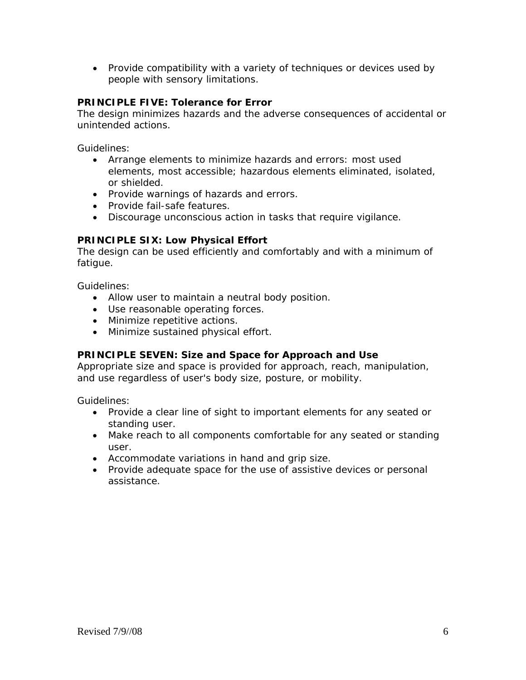• Provide compatibility with a variety of techniques or devices used by people with sensory limitations.

#### **PRINCIPLE FIVE: Tolerance for Error**

The design minimizes hazards and the adverse consequences of accidental or unintended actions.

Guidelines:

- Arrange elements to minimize hazards and errors: most used elements, most accessible; hazardous elements eliminated, isolated, or shielded.
- Provide warnings of hazards and errors.
- Provide fail-safe features.
- Discourage unconscious action in tasks that require vigilance.

#### **PRINCIPLE SIX: Low Physical Effort**

The design can be used efficiently and comfortably and with a minimum of fatigue.

Guidelines:

- Allow user to maintain a neutral body position.
- Use reasonable operating forces.
- Minimize repetitive actions.
- Minimize sustained physical effort.

#### **PRINCIPLE SEVEN: Size and Space for Approach and Use**

Appropriate size and space is provided for approach, reach, manipulation, and use regardless of user's body size, posture, or mobility.

Guidelines:

- Provide a clear line of sight to important elements for any seated or standing user.
- Make reach to all components comfortable for any seated or standing user.
- Accommodate variations in hand and grip size.
- Provide adequate space for the use of assistive devices or personal assistance.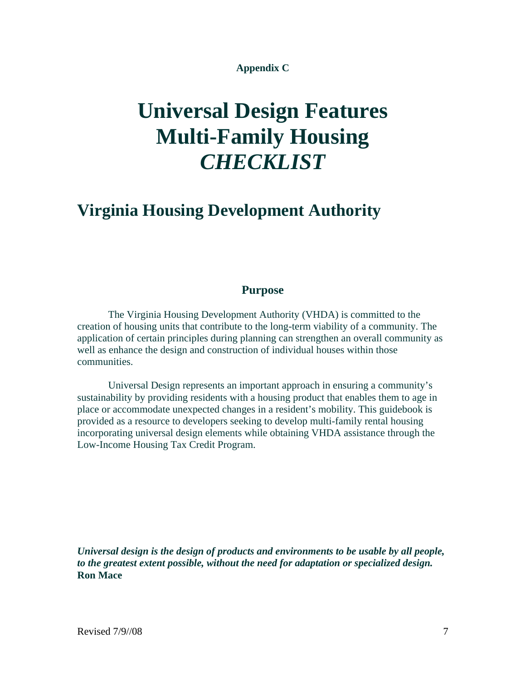#### **Appendix C**

# **Universal Design Features Multi-Family Housing**  *CHECKLIST*

# **Virginia Housing Development Authority**

#### **Purpose**

The Virginia Housing Development Authority (VHDA) is committed to the creation of housing units that contribute to the long-term viability of a community. The application of certain principles during planning can strengthen an overall community as well as enhance the design and construction of individual houses within those communities.

Universal Design represents an important approach in ensuring a community's sustainability by providing residents with a housing product that enables them to age in place or accommodate unexpected changes in a resident's mobility. This guidebook is provided as a resource to developers seeking to develop multi-family rental housing incorporating universal design elements while obtaining VHDA assistance through the Low-Income Housing Tax Credit Program.

*Universal design is the design of products and environments to be usable by all people, to the greatest extent possible, without the need for adaptation or specialized design.*  **Ron Mace**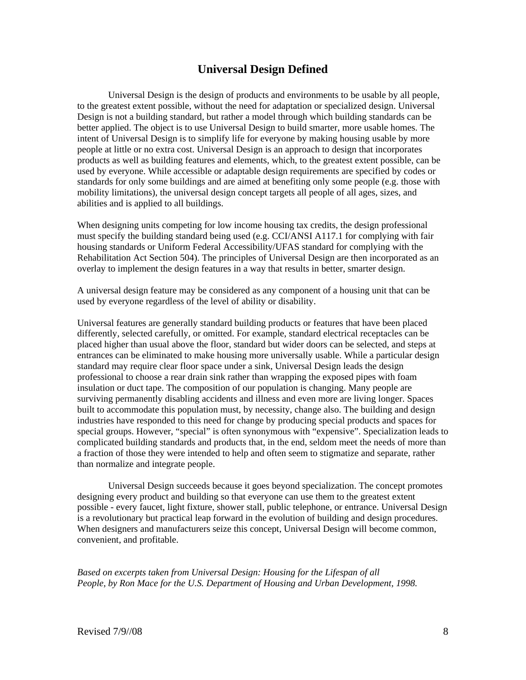#### **Universal Design Defined**

Universal Design is the design of products and environments to be usable by all people, to the greatest extent possible, without the need for adaptation or specialized design. Universal Design is not a building standard, but rather a model through which building standards can be better applied. The object is to use Universal Design to build smarter, more usable homes. The intent of Universal Design is to simplify life for everyone by making housing usable by more people at little or no extra cost. Universal Design is an approach to design that incorporates products as well as building features and elements, which, to the greatest extent possible, can be used by everyone. While accessible or adaptable design requirements are specified by codes or standards for only some buildings and are aimed at benefiting only some people (e.g. those with mobility limitations), the universal design concept targets all people of all ages, sizes, and abilities and is applied to all buildings.

When designing units competing for low income housing tax credits, the design professional must specify the building standard being used (e.g. CCI/ANSI A117.1 for complying with fair housing standards or Uniform Federal Accessibility/UFAS standard for complying with the Rehabilitation Act Section 504). The principles of Universal Design are then incorporated as an overlay to implement the design features in a way that results in better, smarter design.

A universal design feature may be considered as any component of a housing unit that can be used by everyone regardless of the level of ability or disability.

Universal features are generally standard building products or features that have been placed differently, selected carefully, or omitted. For example, standard electrical receptacles can be placed higher than usual above the floor, standard but wider doors can be selected, and steps at entrances can be eliminated to make housing more universally usable. While a particular design standard may require clear floor space under a sink, Universal Design leads the design professional to choose a rear drain sink rather than wrapping the exposed pipes with foam insulation or duct tape. The composition of our population is changing. Many people are surviving permanently disabling accidents and illness and even more are living longer. Spaces built to accommodate this population must, by necessity, change also. The building and design industries have responded to this need for change by producing special products and spaces for special groups. However, "special" is often synonymous with "expensive". Specialization leads to complicated building standards and products that, in the end, seldom meet the needs of more than a fraction of those they were intended to help and often seem to stigmatize and separate, rather than normalize and integrate people.

Universal Design succeeds because it goes beyond specialization. The concept promotes designing every product and building so that everyone can use them to the greatest extent possible - every faucet, light fixture, shower stall, public telephone, or entrance. Universal Design is a revolutionary but practical leap forward in the evolution of building and design procedures. When designers and manufacturers seize this concept, Universal Design will become common, convenient, and profitable.

*Based on excerpts taken from Universal Design: Housing for the Lifespan of all People, by Ron Mace for the U.S. Department of Housing and Urban Development, 1998.*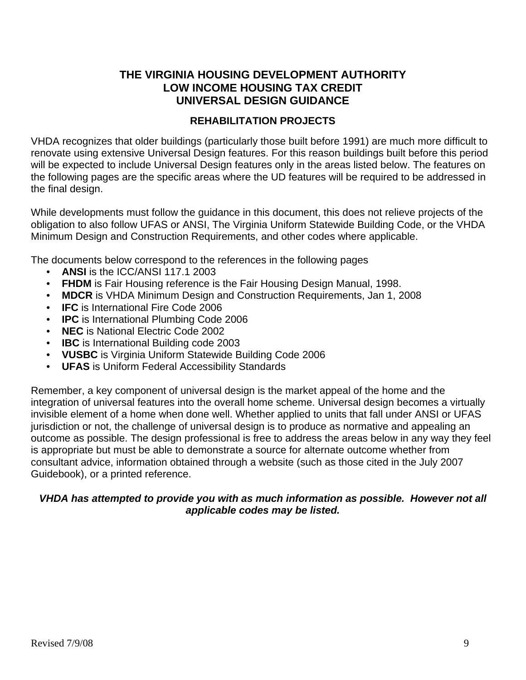# **THE VIRGINIA HOUSING DEVELOPMENT AUTHORITY LOW INCOME HOUSING TAX CREDIT UNIVERSAL DESIGN GUIDANCE**

#### **REHABILITATION PROJECTS**

VHDA recognizes that older buildings (particularly those built before 1991) are much more difficult to renovate using extensive Universal Design features. For this reason buildings built before this period will be expected to include Universal Design features only in the areas listed below. The features on the following pages are the specific areas where the UD features will be required to be addressed in the final design.

While developments must follow the guidance in this document, this does not relieve projects of the obligation to also follow UFAS or ANSI, The Virginia Uniform Statewide Building Code, or the VHDA Minimum Design and Construction Requirements, and other codes where applicable.

The documents below correspond to the references in the following pages

- **ANSI** is the ICC/ANSI 117.1 2003
- **FHDM** is Fair Housing reference is the Fair Housing Design Manual, 1998.
- **MDCR** is VHDA Minimum Design and Construction Requirements, Jan 1, 2008
- **IFC** is International Fire Code 2006
- **IPC** is International Plumbing Code 2006
- **NEC** is National Electric Code 2002
- **IBC** is International Building code 2003
- **VUSBC** is Virginia Uniform Statewide Building Code 2006
- **UFAS** is Uniform Federal Accessibility Standards

Remember, a key component of universal design is the market appeal of the home and the integration of universal features into the overall home scheme. Universal design becomes a virtually invisible element of a home when done well. Whether applied to units that fall under ANSI or UFAS jurisdiction or not, the challenge of universal design is to produce as normative and appealing an outcome as possible. The design professional is free to address the areas below in any way they feel is appropriate but must be able to demonstrate a source for alternate outcome whether from consultant advice, information obtained through a website (such as those cited in the July 2007 Guidebook), or a printed reference.

#### *VHDA has attempted to provide you with as much information as possible. However not all applicable codes may be listed.*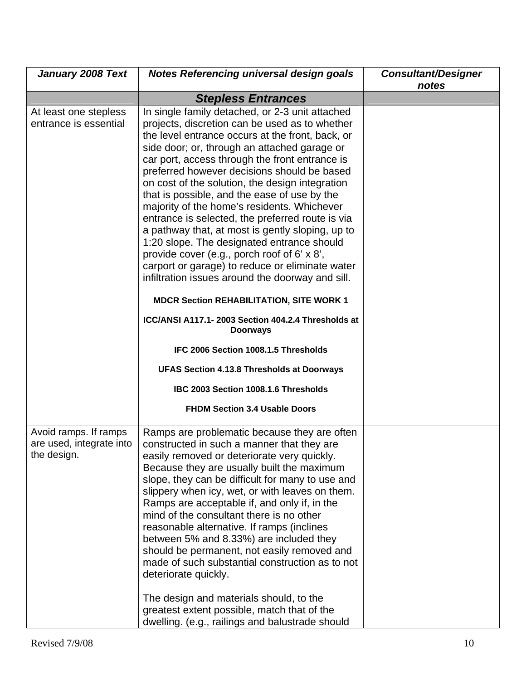| <b>January 2008 Text</b>                                         | Notes Referencing universal design goals                                                                                                                                                                                                                                                                                                                                                                                                                                                                                                                                                                                                                                                                                                                                                                                                                                                                                                                                                                                                                                      | <b>Consultant/Designer</b><br>notes |
|------------------------------------------------------------------|-------------------------------------------------------------------------------------------------------------------------------------------------------------------------------------------------------------------------------------------------------------------------------------------------------------------------------------------------------------------------------------------------------------------------------------------------------------------------------------------------------------------------------------------------------------------------------------------------------------------------------------------------------------------------------------------------------------------------------------------------------------------------------------------------------------------------------------------------------------------------------------------------------------------------------------------------------------------------------------------------------------------------------------------------------------------------------|-------------------------------------|
|                                                                  | <b>Stepless Entrances</b>                                                                                                                                                                                                                                                                                                                                                                                                                                                                                                                                                                                                                                                                                                                                                                                                                                                                                                                                                                                                                                                     |                                     |
| At least one stepless<br>entrance is essential                   | In single family detached, or 2-3 unit attached<br>projects, discretion can be used as to whether<br>the level entrance occurs at the front, back, or<br>side door; or, through an attached garage or<br>car port, access through the front entrance is<br>preferred however decisions should be based<br>on cost of the solution, the design integration<br>that is possible, and the ease of use by the<br>majority of the home's residents. Whichever<br>entrance is selected, the preferred route is via<br>a pathway that, at most is gently sloping, up to<br>1:20 slope. The designated entrance should<br>provide cover (e.g., porch roof of 6' x 8',<br>carport or garage) to reduce or eliminate water<br>infiltration issues around the doorway and sill.<br><b>MDCR Section REHABILITATION, SITE WORK 1</b><br>ICC/ANSI A117.1-2003 Section 404.2.4 Thresholds at<br><b>Doorways</b><br>IFC 2006 Section 1008.1.5 Thresholds<br><b>UFAS Section 4.13.8 Thresholds at Doorways</b><br>IBC 2003 Section 1008.1.6 Thresholds<br><b>FHDM Section 3.4 Usable Doors</b> |                                     |
| Avoid ramps. If ramps<br>are used, integrate into<br>the design. | Ramps are problematic because they are often<br>constructed in such a manner that they are<br>easily removed or deteriorate very quickly.<br>Because they are usually built the maximum<br>slope, they can be difficult for many to use and<br>slippery when icy, wet, or with leaves on them.<br>Ramps are acceptable if, and only if, in the<br>mind of the consultant there is no other<br>reasonable alternative. If ramps (inclines<br>between 5% and 8.33%) are included they<br>should be permanent, not easily removed and<br>made of such substantial construction as to not<br>deteriorate quickly.<br>The design and materials should, to the<br>greatest extent possible, match that of the<br>dwelling. (e.g., railings and balustrade should                                                                                                                                                                                                                                                                                                                    |                                     |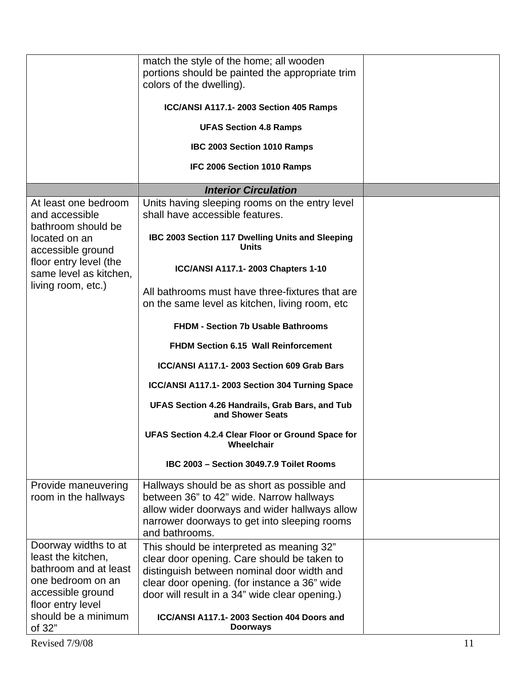|                                                                                                                                                                     | match the style of the home; all wooden<br>portions should be painted the appropriate trim<br>colors of the dwelling).<br>ICC/ANSI A117.1-2003 Section 405 Ramps<br><b>UFAS Section 4.8 Ramps</b><br>IBC 2003 Section 1010 Ramps<br>IFC 2006 Section 1010 Ramps                                           |  |
|---------------------------------------------------------------------------------------------------------------------------------------------------------------------|-----------------------------------------------------------------------------------------------------------------------------------------------------------------------------------------------------------------------------------------------------------------------------------------------------------|--|
|                                                                                                                                                                     | <b>Interior Circulation</b>                                                                                                                                                                                                                                                                               |  |
| At least one bedroom<br>and accessible<br>bathroom should be                                                                                                        | Units having sleeping rooms on the entry level<br>shall have accessible features.                                                                                                                                                                                                                         |  |
| located on an<br>accessible ground                                                                                                                                  | IBC 2003 Section 117 Dwelling Units and Sleeping<br><b>Units</b>                                                                                                                                                                                                                                          |  |
| floor entry level (the<br>same level as kitchen,                                                                                                                    | ICC/ANSI A117.1-2003 Chapters 1-10                                                                                                                                                                                                                                                                        |  |
| living room, etc.)                                                                                                                                                  | All bathrooms must have three-fixtures that are<br>on the same level as kitchen, living room, etc                                                                                                                                                                                                         |  |
|                                                                                                                                                                     | <b>FHDM - Section 7b Usable Bathrooms</b>                                                                                                                                                                                                                                                                 |  |
|                                                                                                                                                                     | <b>FHDM Section 6.15 Wall Reinforcement</b>                                                                                                                                                                                                                                                               |  |
|                                                                                                                                                                     | ICC/ANSI A117.1-2003 Section 609 Grab Bars                                                                                                                                                                                                                                                                |  |
|                                                                                                                                                                     | ICC/ANSI A117.1-2003 Section 304 Turning Space                                                                                                                                                                                                                                                            |  |
|                                                                                                                                                                     | UFAS Section 4.26 Handrails, Grab Bars, and Tub<br>and Shower Seats                                                                                                                                                                                                                                       |  |
|                                                                                                                                                                     | UFAS Section 4.2.4 Clear Floor or Ground Space for<br>Wheelchair                                                                                                                                                                                                                                          |  |
|                                                                                                                                                                     | IBC 2003 - Section 3049.7.9 Toilet Rooms                                                                                                                                                                                                                                                                  |  |
| Provide maneuvering<br>room in the hallways                                                                                                                         | Hallways should be as short as possible and<br>between 36" to 42" wide. Narrow hallways<br>allow wider doorways and wider hallways allow<br>narrower doorways to get into sleeping rooms<br>and bathrooms.                                                                                                |  |
| Doorway widths to at<br>least the kitchen,<br>bathroom and at least<br>one bedroom on an<br>accessible ground<br>floor entry level<br>should be a minimum<br>of 32" | This should be interpreted as meaning 32"<br>clear door opening. Care should be taken to<br>distinguish between nominal door width and<br>clear door opening. (for instance a 36" wide<br>door will result in a 34" wide clear opening.)<br>ICC/ANSI A117.1-2003 Section 404 Doors and<br><b>Doorways</b> |  |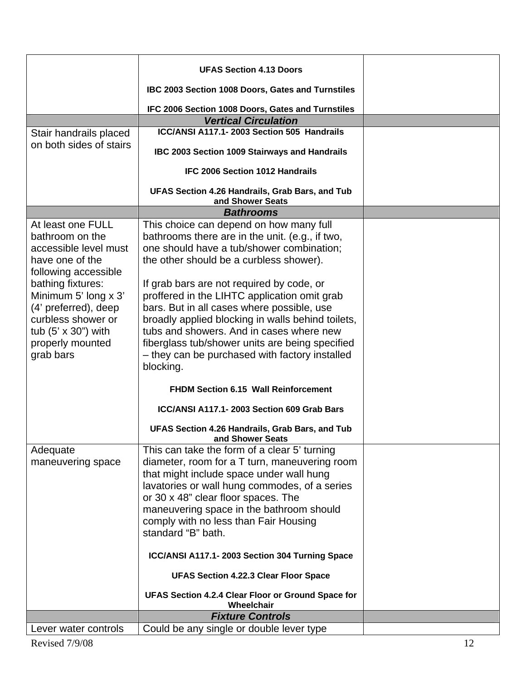|                             | <b>UFAS Section 4.13 Doors</b>                                      |  |
|-----------------------------|---------------------------------------------------------------------|--|
|                             | IBC 2003 Section 1008 Doors, Gates and Turnstiles                   |  |
|                             | IFC 2006 Section 1008 Doors, Gates and Turnstiles                   |  |
|                             | <b>Vertical Circulation</b>                                         |  |
| Stair handrails placed      | ICC/ANSI A117.1-2003 Section 505 Handrails                          |  |
| on both sides of stairs     | IBC 2003 Section 1009 Stairways and Handrails                       |  |
|                             | IFC 2006 Section 1012 Handrails                                     |  |
|                             | UFAS Section 4.26 Handrails, Grab Bars, and Tub<br>and Shower Seats |  |
|                             | <b>Bathrooms</b>                                                    |  |
| At least one FULL           |                                                                     |  |
| bathroom on the             | This choice can depend on how many full                             |  |
|                             | bathrooms there are in the unit. (e.g., if two,                     |  |
| accessible level must       | one should have a tub/shower combination;                           |  |
| have one of the             | the other should be a curbless shower).                             |  |
| following accessible        |                                                                     |  |
| bathing fixtures:           | If grab bars are not required by code, or                           |  |
| Minimum 5' long x 3'        | proffered in the LIHTC application omit grab                        |  |
| (4' preferred), deep        | bars. But in all cases where possible, use                          |  |
| curbless shower or          | broadly applied blocking in walls behind toilets,                   |  |
| tub $(5' \times 30'')$ with | tubs and showers. And in cases where new                            |  |
| properly mounted            | fiberglass tub/shower units are being specified                     |  |
| grab bars                   | - they can be purchased with factory installed                      |  |
|                             | blocking.                                                           |  |
|                             | <b>FHDM Section 6.15 Wall Reinforcement</b>                         |  |
|                             | ICC/ANSI A117.1-2003 Section 609 Grab Bars                          |  |
|                             |                                                                     |  |
|                             | UFAS Section 4.26 Handrails, Grab Bars, and Tub<br>and Shower Seats |  |
| Adequate                    | This can take the form of a clear 5' turning                        |  |
| maneuvering space           | diameter, room for a T turn, maneuvering room                       |  |
|                             | that might include space under wall hung                            |  |
|                             | lavatories or wall hung commodes, of a series                       |  |
|                             | or 30 x 48" clear floor spaces. The                                 |  |
|                             | maneuvering space in the bathroom should                            |  |
|                             | comply with no less than Fair Housing                               |  |
|                             | standard "B" bath.                                                  |  |
|                             | ICC/ANSI A117.1-2003 Section 304 Turning Space                      |  |
|                             | <b>UFAS Section 4.22.3 Clear Floor Space</b>                        |  |
|                             | UFAS Section 4.2.4 Clear Floor or Ground Space for<br>Wheelchair    |  |
|                             | <b>Fixture Controls</b>                                             |  |
| Lever water controls        | Could be any single or double lever type                            |  |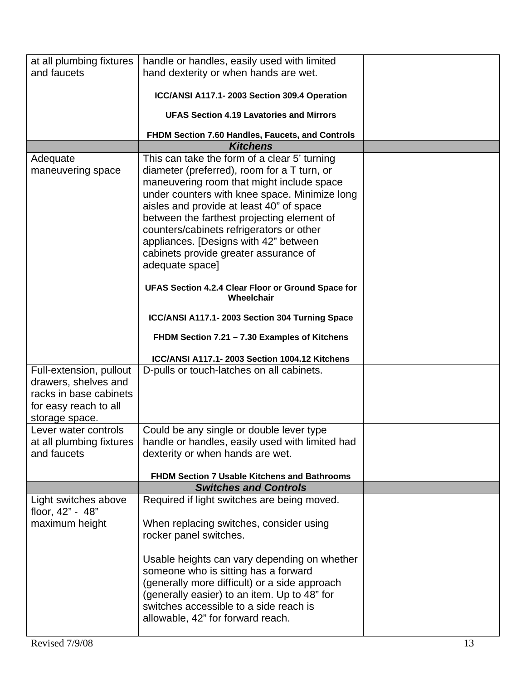| at all plumbing fixtures                 | handle or handles, easily used with limited                                                                                                                                                                                                                                                                                                                                                                                                                                                |  |
|------------------------------------------|--------------------------------------------------------------------------------------------------------------------------------------------------------------------------------------------------------------------------------------------------------------------------------------------------------------------------------------------------------------------------------------------------------------------------------------------------------------------------------------------|--|
| and faucets                              | hand dexterity or when hands are wet.                                                                                                                                                                                                                                                                                                                                                                                                                                                      |  |
|                                          |                                                                                                                                                                                                                                                                                                                                                                                                                                                                                            |  |
|                                          | ICC/ANSI A117.1-2003 Section 309.4 Operation                                                                                                                                                                                                                                                                                                                                                                                                                                               |  |
|                                          | <b>UFAS Section 4.19 Lavatories and Mirrors</b>                                                                                                                                                                                                                                                                                                                                                                                                                                            |  |
|                                          | FHDM Section 7.60 Handles, Faucets, and Controls                                                                                                                                                                                                                                                                                                                                                                                                                                           |  |
|                                          | <b>Kitchens</b>                                                                                                                                                                                                                                                                                                                                                                                                                                                                            |  |
| Adequate<br>maneuvering space            | This can take the form of a clear 5' turning<br>diameter (preferred), room for a T turn, or<br>maneuvering room that might include space<br>under counters with knee space. Minimize long<br>aisles and provide at least 40" of space<br>between the farthest projecting element of<br>counters/cabinets refrigerators or other<br>appliances. [Designs with 42" between<br>cabinets provide greater assurance of<br>adequate space]<br>UFAS Section 4.2.4 Clear Floor or Ground Space for |  |
|                                          | Wheelchair                                                                                                                                                                                                                                                                                                                                                                                                                                                                                 |  |
|                                          | ICC/ANSI A117.1-2003 Section 304 Turning Space                                                                                                                                                                                                                                                                                                                                                                                                                                             |  |
|                                          | FHDM Section 7.21 - 7.30 Examples of Kitchens                                                                                                                                                                                                                                                                                                                                                                                                                                              |  |
|                                          |                                                                                                                                                                                                                                                                                                                                                                                                                                                                                            |  |
|                                          | ICC/ANSI A117.1-2003 Section 1004.12 Kitchens                                                                                                                                                                                                                                                                                                                                                                                                                                              |  |
| Full-extension, pullout                  | D-pulls or touch-latches on all cabinets.                                                                                                                                                                                                                                                                                                                                                                                                                                                  |  |
| drawers, shelves and                     |                                                                                                                                                                                                                                                                                                                                                                                                                                                                                            |  |
| racks in base cabinets                   |                                                                                                                                                                                                                                                                                                                                                                                                                                                                                            |  |
| for easy reach to all                    |                                                                                                                                                                                                                                                                                                                                                                                                                                                                                            |  |
| storage space.                           |                                                                                                                                                                                                                                                                                                                                                                                                                                                                                            |  |
| Lever water controls                     | Could be any single or double lever type                                                                                                                                                                                                                                                                                                                                                                                                                                                   |  |
| at all plumbing fixtures                 | handle or handles, easily used with limited had                                                                                                                                                                                                                                                                                                                                                                                                                                            |  |
| and faucets                              | dexterity or when hands are wet.                                                                                                                                                                                                                                                                                                                                                                                                                                                           |  |
|                                          |                                                                                                                                                                                                                                                                                                                                                                                                                                                                                            |  |
|                                          | <b>FHDM Section 7 Usable Kitchens and Bathrooms</b>                                                                                                                                                                                                                                                                                                                                                                                                                                        |  |
|                                          | <b>Switches and Controls</b>                                                                                                                                                                                                                                                                                                                                                                                                                                                               |  |
| Light switches above<br>floor, 42" - 48" | Required if light switches are being moved.                                                                                                                                                                                                                                                                                                                                                                                                                                                |  |
| maximum height                           | When replacing switches, consider using<br>rocker panel switches.                                                                                                                                                                                                                                                                                                                                                                                                                          |  |
|                                          | Usable heights can vary depending on whether<br>someone who is sitting has a forward<br>(generally more difficult) or a side approach<br>(generally easier) to an item. Up to 48" for<br>switches accessible to a side reach is<br>allowable, 42" for forward reach.                                                                                                                                                                                                                       |  |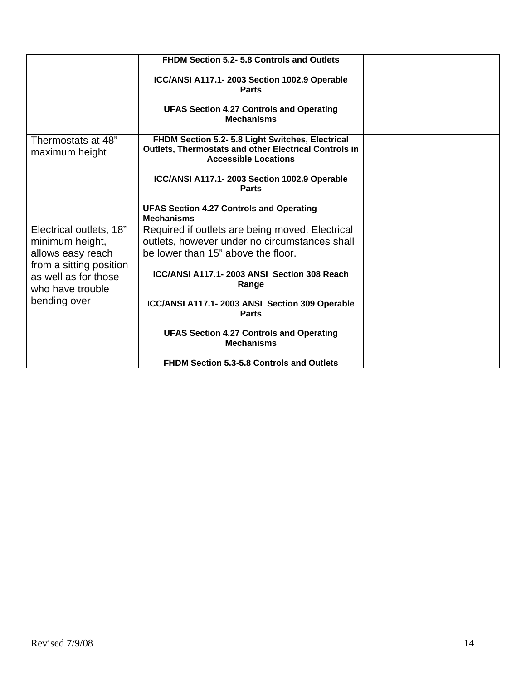|                                                                     | <b>FHDM Section 5.2-5.8 Controls and Outlets</b>                                                                                                |  |
|---------------------------------------------------------------------|-------------------------------------------------------------------------------------------------------------------------------------------------|--|
|                                                                     | ICC/ANSI A117.1-2003 Section 1002.9 Operable<br><b>Parts</b>                                                                                    |  |
|                                                                     | <b>UFAS Section 4.27 Controls and Operating</b><br><b>Mechanisms</b>                                                                            |  |
| Thermostats at 48"<br>maximum height                                | FHDM Section 5.2- 5.8 Light Switches, Electrical<br><b>Outlets, Thermostats and other Electrical Controls in</b><br><b>Accessible Locations</b> |  |
|                                                                     | ICC/ANSI A117.1-2003 Section 1002.9 Operable<br><b>Parts</b>                                                                                    |  |
|                                                                     | <b>UFAS Section 4.27 Controls and Operating</b><br><b>Mechanisms</b>                                                                            |  |
| Electrical outlets, 18"                                             | Required if outlets are being moved. Electrical                                                                                                 |  |
| minimum height,                                                     | outlets, however under no circumstances shall                                                                                                   |  |
| allows easy reach                                                   | be lower than 15" above the floor.                                                                                                              |  |
| from a sitting position<br>as well as for those<br>who have trouble | ICC/ANSI A117.1-2003 ANSI Section 308 Reach<br>Range                                                                                            |  |
| bending over                                                        | ICC/ANSI A117.1-2003 ANSI Section 309 Operable<br><b>Parts</b>                                                                                  |  |
|                                                                     | <b>UFAS Section 4.27 Controls and Operating</b><br><b>Mechanisms</b>                                                                            |  |
|                                                                     | <b>FHDM Section 5.3-5.8 Controls and Outlets</b>                                                                                                |  |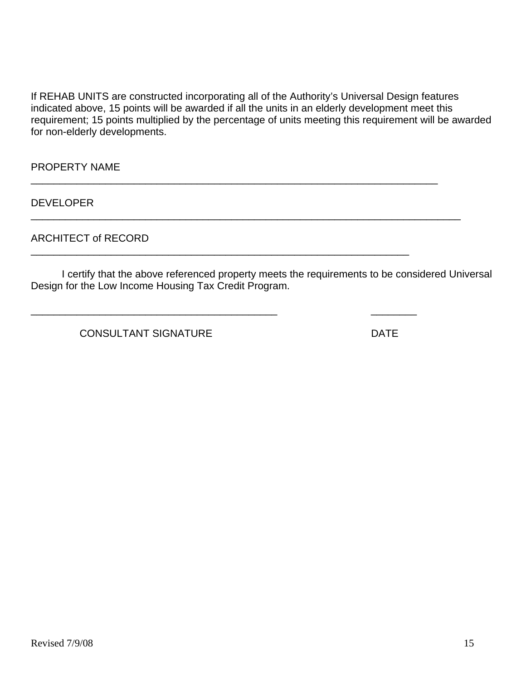If REHAB UNITS are constructed incorporating all of the Authority's Universal Design features indicated above, 15 points will be awarded if all the units in an elderly development meet this requirement; 15 points multiplied by the percentage of units meeting this requirement will be awarded for non-elderly developments.

\_\_\_\_\_\_\_\_\_\_\_\_\_\_\_\_\_\_\_\_\_\_\_\_\_\_\_\_\_\_\_\_\_\_\_\_\_\_\_\_\_\_\_\_\_\_\_\_\_\_\_\_\_\_\_\_\_\_\_\_\_\_\_\_\_\_\_\_\_\_\_

\_\_\_\_\_\_\_\_\_\_\_\_\_\_\_\_\_\_\_\_\_\_\_\_\_\_\_\_\_\_\_\_\_\_\_\_\_\_\_\_\_\_\_\_\_\_\_\_\_\_\_\_\_\_\_\_\_\_\_\_\_\_\_\_\_\_

\_\_\_\_\_\_\_\_\_\_\_\_\_\_\_\_\_\_\_\_\_\_\_\_\_\_\_\_\_\_\_\_\_\_\_\_\_\_\_\_\_\_\_ \_\_\_\_\_\_\_\_

\_\_\_\_\_\_\_\_\_\_\_\_\_\_\_\_\_\_\_\_\_\_\_\_\_\_\_\_\_\_\_\_\_\_\_\_\_\_\_\_\_\_\_\_\_\_\_\_\_\_\_\_\_\_\_\_\_\_\_\_\_\_\_\_\_\_\_\_\_\_\_\_\_\_\_

PROPERTY NAME

DEVELOPER

ARCHITECT of RECORD

 I certify that the above referenced property meets the requirements to be considered Universal Design for the Low Income Housing Tax Credit Program.

CONSULTANT SIGNATURE DATE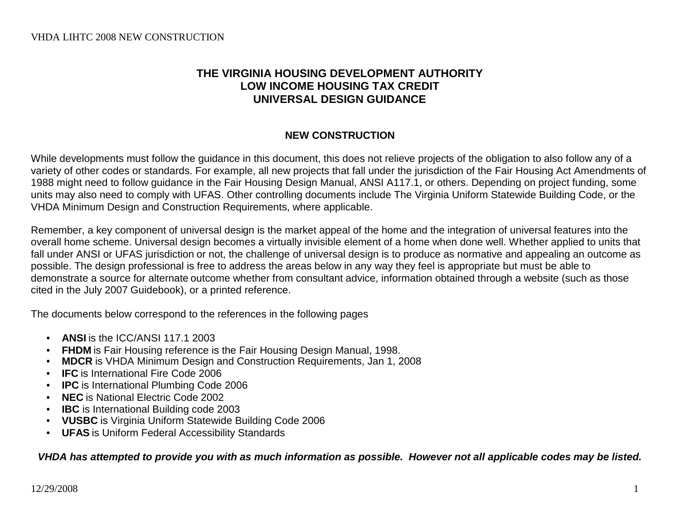# **THE VIRGINIA HOUSING DEVELOPMENT AUTHORITY LOW INCOME HOUSING TAX CREDIT UNIVERSAL DESIGN GUIDANCE**

# **NEW CONSTRUCTION**

While developments must follow the guidance in this document, this does not relieve projects of the obligation to also follow any of a variety of other codes or standards. For example, all new projects that fall under the jurisdiction of the Fair Housing Act Amendments of 1988 might need to follow guidance in the Fair Housing Design Manual, ANSI A117.1, or others. Depending on project funding, some units may also need to comply with UFAS. Other controlling documents include The Virginia Uniform Statewide Building Code, or the VHDA Minimum Design and Construction Requirements, where applicable.

Remember, a key component of universal design is the market appeal of the home and the integration of universal features into the overall home scheme. Universal design becomes a virtually invisible element of a home when done well. Whether applied to units that fall under ANSI or UFAS jurisdiction or not, the challenge of universal design is to produce as normative and appealing an outcome as possible. The design professional is free to address the areas below in any way they feel is appropriate but must be able to demonstrate a source for alternate outcome whether from consultant advice, information obtained through a website (such as those cited in the July 2007 Guidebook), or a printed reference.

The documents below correspond to the references in the following pages

- **ANSI** is the ICC/ANSI 117.1 2003
- **FHDM** is Fair Housing reference is the Fair Housing Design Manual, 1998.
- **MDCR** is VHDA Minimum Design and Construction Requirements, Jan 1, 2008
- **IFC** is International Fire Code 2006
- **IPC** is International Plumbing Code 2006
- **NEC** is National Electric Code 2002
- **IBC** is International Building code 2003
- **VUSBC** is Virginia Uniform Statewide Building Code 2006
- **UFAS** is Uniform Federal Accessibility Standards

*VHDA has attempted to provide you with as much information as possible. However not all applicable codes may be listed.*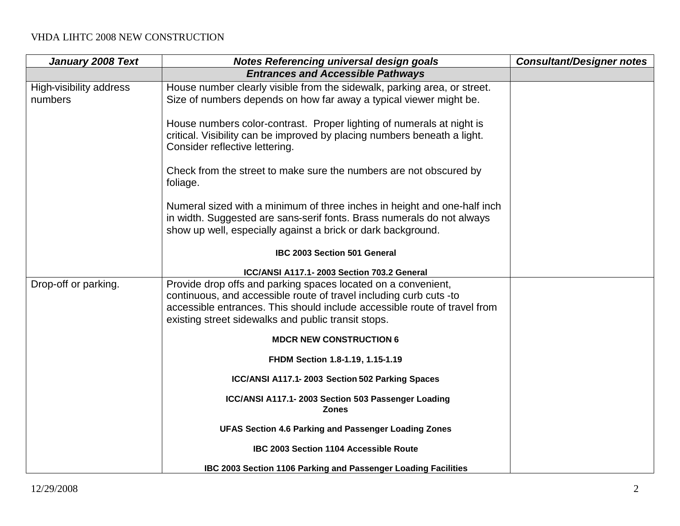| January 2008 Text                  | <b>Notes Referencing universal design goals</b>                                                                                                                                                                                                                         | <b>Consultant/Designer notes</b> |
|------------------------------------|-------------------------------------------------------------------------------------------------------------------------------------------------------------------------------------------------------------------------------------------------------------------------|----------------------------------|
|                                    | <b>Entrances and Accessible Pathways</b>                                                                                                                                                                                                                                |                                  |
| High-visibility address<br>numbers | House number clearly visible from the sidewalk, parking area, or street.<br>Size of numbers depends on how far away a typical viewer might be.                                                                                                                          |                                  |
|                                    | House numbers color-contrast. Proper lighting of numerals at night is<br>critical. Visibility can be improved by placing numbers beneath a light.<br>Consider reflective lettering.                                                                                     |                                  |
|                                    | Check from the street to make sure the numbers are not obscured by<br>foliage.                                                                                                                                                                                          |                                  |
|                                    | Numeral sized with a minimum of three inches in height and one-half inch<br>in width. Suggested are sans-serif fonts. Brass numerals do not always<br>show up well, especially against a brick or dark background.                                                      |                                  |
|                                    | IBC 2003 Section 501 General                                                                                                                                                                                                                                            |                                  |
|                                    | ICC/ANSI A117.1-2003 Section 703.2 General                                                                                                                                                                                                                              |                                  |
| Drop-off or parking.               | Provide drop offs and parking spaces located on a convenient,<br>continuous, and accessible route of travel including curb cuts -to<br>accessible entrances. This should include accessible route of travel from<br>existing street sidewalks and public transit stops. |                                  |
|                                    | <b>MDCR NEW CONSTRUCTION 6</b>                                                                                                                                                                                                                                          |                                  |
|                                    | FHDM Section 1.8-1.19, 1.15-1.19                                                                                                                                                                                                                                        |                                  |
|                                    | ICC/ANSI A117.1-2003 Section 502 Parking Spaces                                                                                                                                                                                                                         |                                  |
|                                    | ICC/ANSI A117.1-2003 Section 503 Passenger Loading<br><b>Zones</b>                                                                                                                                                                                                      |                                  |
|                                    | <b>UFAS Section 4.6 Parking and Passenger Loading Zones</b>                                                                                                                                                                                                             |                                  |
|                                    | IBC 2003 Section 1104 Accessible Route                                                                                                                                                                                                                                  |                                  |
|                                    | IBC 2003 Section 1106 Parking and Passenger Loading Facilities                                                                                                                                                                                                          |                                  |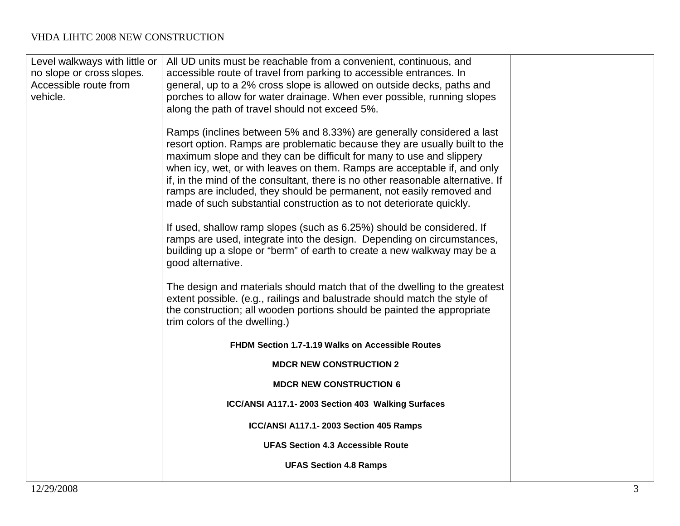| no slope or cross slopes.<br>Accessible route from | accessible route of travel from parking to accessible entrances. In<br>general, up to a 2% cross slope is allowed on outside decks, paths and                                                                                                                                                                                                                                                                                                                                                                                              |
|----------------------------------------------------|--------------------------------------------------------------------------------------------------------------------------------------------------------------------------------------------------------------------------------------------------------------------------------------------------------------------------------------------------------------------------------------------------------------------------------------------------------------------------------------------------------------------------------------------|
| vehicle.                                           | porches to allow for water drainage. When ever possible, running slopes<br>along the path of travel should not exceed 5%.                                                                                                                                                                                                                                                                                                                                                                                                                  |
|                                                    | Ramps (inclines between 5% and 8.33%) are generally considered a last<br>resort option. Ramps are problematic because they are usually built to the<br>maximum slope and they can be difficult for many to use and slippery<br>when icy, wet, or with leaves on them. Ramps are acceptable if, and only<br>if, in the mind of the consultant, there is no other reasonable alternative. If<br>ramps are included, they should be permanent, not easily removed and<br>made of such substantial construction as to not deteriorate quickly. |
|                                                    | If used, shallow ramp slopes (such as 6.25%) should be considered. If<br>ramps are used, integrate into the design. Depending on circumstances,<br>building up a slope or "berm" of earth to create a new walkway may be a<br>good alternative.                                                                                                                                                                                                                                                                                            |
|                                                    | The design and materials should match that of the dwelling to the greatest<br>extent possible. (e.g., railings and balustrade should match the style of<br>the construction; all wooden portions should be painted the appropriate<br>trim colors of the dwelling.)                                                                                                                                                                                                                                                                        |
|                                                    | FHDM Section 1.7-1.19 Walks on Accessible Routes                                                                                                                                                                                                                                                                                                                                                                                                                                                                                           |
|                                                    | <b>MDCR NEW CONSTRUCTION 2</b>                                                                                                                                                                                                                                                                                                                                                                                                                                                                                                             |
|                                                    | <b>MDCR NEW CONSTRUCTION 6</b>                                                                                                                                                                                                                                                                                                                                                                                                                                                                                                             |
|                                                    | ICC/ANSI A117.1-2003 Section 403 Walking Surfaces                                                                                                                                                                                                                                                                                                                                                                                                                                                                                          |
|                                                    | ICC/ANSI A117.1-2003 Section 405 Ramps                                                                                                                                                                                                                                                                                                                                                                                                                                                                                                     |
|                                                    | <b>UFAS Section 4.3 Accessible Route</b>                                                                                                                                                                                                                                                                                                                                                                                                                                                                                                   |
|                                                    | <b>UFAS Section 4.8 Ramps</b>                                                                                                                                                                                                                                                                                                                                                                                                                                                                                                              |
|                                                    |                                                                                                                                                                                                                                                                                                                                                                                                                                                                                                                                            |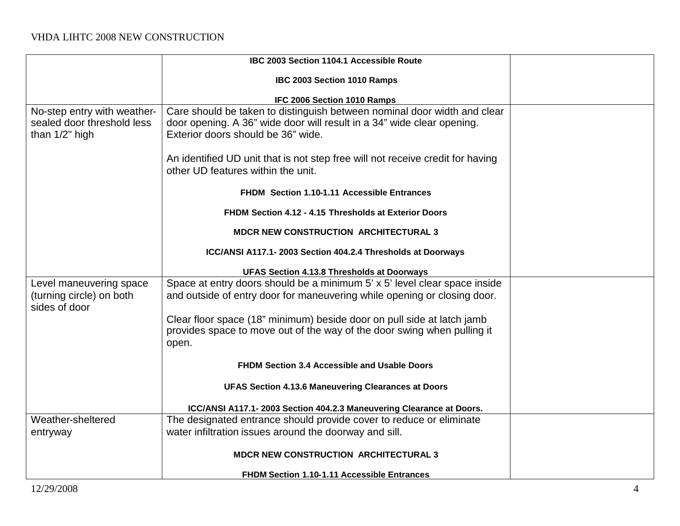|                                                                             | IBC 2003 Section 1104.1 Accessible Route                                                                                                                                                 |  |
|-----------------------------------------------------------------------------|------------------------------------------------------------------------------------------------------------------------------------------------------------------------------------------|--|
|                                                                             | IBC 2003 Section 1010 Ramps                                                                                                                                                              |  |
|                                                                             | IFC 2006 Section 1010 Ramps                                                                                                                                                              |  |
| No-step entry with weather-<br>sealed door threshold less<br>than 1/2" high | Care should be taken to distinguish between nominal door width and clear<br>door opening. A 36" wide door will result in a 34" wide clear opening.<br>Exterior doors should be 36" wide. |  |
|                                                                             | An identified UD unit that is not step free will not receive credit for having<br>other UD features within the unit.                                                                     |  |
|                                                                             | FHDM Section 1.10-1.11 Accessible Entrances                                                                                                                                              |  |
|                                                                             | FHDM Section 4.12 - 4.15 Thresholds at Exterior Doors                                                                                                                                    |  |
|                                                                             | <b>MDCR NEW CONSTRUCTION ARCHITECTURAL 3</b>                                                                                                                                             |  |
|                                                                             | ICC/ANSI A117.1-2003 Section 404.2.4 Thresholds at Doorways                                                                                                                              |  |
|                                                                             | UFAS Section 4.13.8 Thresholds at Doorways                                                                                                                                               |  |
| Level maneuvering space                                                     | Space at entry doors should be a minimum 5' x 5' level clear space inside                                                                                                                |  |
| (turning circle) on both<br>sides of door                                   | and outside of entry door for maneuvering while opening or closing door.                                                                                                                 |  |
|                                                                             | Clear floor space (18" minimum) beside door on pull side at latch jamb<br>provides space to move out of the way of the door swing when pulling it<br>open.                               |  |
|                                                                             | FHDM Section 3.4 Accessible and Usable Doors                                                                                                                                             |  |
|                                                                             | <b>UFAS Section 4.13.6 Maneuvering Clearances at Doors</b>                                                                                                                               |  |
|                                                                             | ICC/ANSI A117.1-2003 Section 404.2.3 Maneuvering Clearance at Doors.                                                                                                                     |  |
| Weather-sheltered                                                           | The designated entrance should provide cover to reduce or eliminate                                                                                                                      |  |
| entryway                                                                    | water infiltration issues around the doorway and sill.                                                                                                                                   |  |
|                                                                             | <b>MDCR NEW CONSTRUCTION ARCHITECTURAL 3</b>                                                                                                                                             |  |
|                                                                             | <b>FHDM Section 1.10-1.11 Accessible Entrances</b>                                                                                                                                       |  |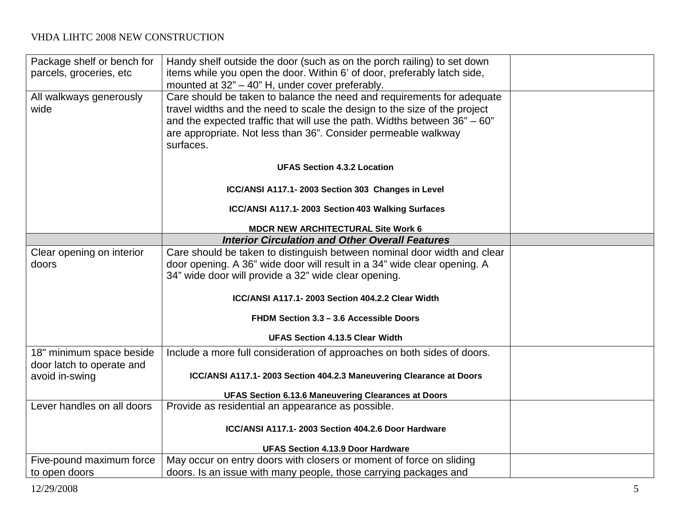| Package shelf or bench for | Handy shelf outside the door (such as on the porch railing) to set down                                                     |  |
|----------------------------|-----------------------------------------------------------------------------------------------------------------------------|--|
| parcels, groceries, etc    | items while you open the door. Within 6' of door, preferably latch side,<br>mounted at 32" - 40" H, under cover preferably. |  |
| All walkways generously    | Care should be taken to balance the need and requirements for adequate                                                      |  |
| wide                       | travel widths and the need to scale the design to the size of the project                                                   |  |
|                            | and the expected traffic that will use the path. Widths between $36" - 60"$                                                 |  |
|                            | are appropriate. Not less than 36". Consider permeable walkway                                                              |  |
|                            | surfaces.                                                                                                                   |  |
|                            | <b>UFAS Section 4.3.2 Location</b>                                                                                          |  |
|                            | ICC/ANSI A117.1-2003 Section 303 Changes in Level                                                                           |  |
|                            | ICC/ANSI A117.1-2003 Section 403 Walking Surfaces                                                                           |  |
|                            | <b>MDCR NEW ARCHITECTURAL Site Work 6</b>                                                                                   |  |
|                            | <b>Interior Circulation and Other Overall Features</b>                                                                      |  |
| Clear opening on interior  | Care should be taken to distinguish between nominal door width and clear                                                    |  |
| doors                      | door opening. A 36" wide door will result in a 34" wide clear opening. A                                                    |  |
|                            | 34" wide door will provide a 32" wide clear opening.                                                                        |  |
|                            | ICC/ANSI A117.1-2003 Section 404.2.2 Clear Width                                                                            |  |
|                            | FHDM Section 3.3 - 3.6 Accessible Doors                                                                                     |  |
|                            | <b>UFAS Section 4.13.5 Clear Width</b>                                                                                      |  |
| 18" minimum space beside   | Include a more full consideration of approaches on both sides of doors.                                                     |  |
| door latch to operate and  |                                                                                                                             |  |
| avoid in-swing             | ICC/ANSI A117.1-2003 Section 404.2.3 Maneuvering Clearance at Doors                                                         |  |
|                            | <b>UFAS Section 6.13.6 Maneuvering Clearances at Doors</b>                                                                  |  |
| Lever handles on all doors | Provide as residential an appearance as possible.                                                                           |  |
|                            | ICC/ANSI A117.1-2003 Section 404.2.6 Door Hardware                                                                          |  |
|                            | <b>UFAS Section 4.13.9 Door Hardware</b>                                                                                    |  |
| Five-pound maximum force   | May occur on entry doors with closers or moment of force on sliding                                                         |  |
| to open doors              | doors. Is an issue with many people, those carrying packages and                                                            |  |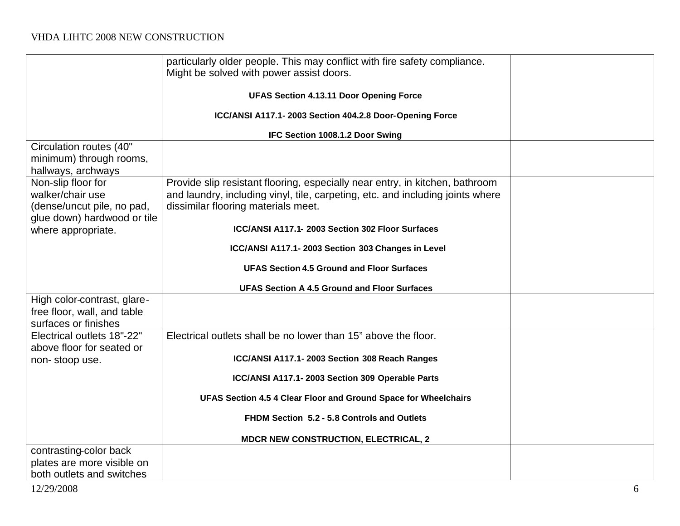|                             | particularly older people. This may conflict with fire safety compliance.<br>Might be solved with power assist doors. |  |
|-----------------------------|-----------------------------------------------------------------------------------------------------------------------|--|
|                             | <b>UFAS Section 4.13.11 Door Opening Force</b>                                                                        |  |
|                             |                                                                                                                       |  |
|                             | ICC/ANSI A117.1-2003 Section 404.2.8 Door-Opening Force                                                               |  |
|                             | IFC Section 1008.1.2 Door Swing                                                                                       |  |
| Circulation routes (40"     |                                                                                                                       |  |
| minimum) through rooms,     |                                                                                                                       |  |
| hallways, archways          |                                                                                                                       |  |
| Non-slip floor for          | Provide slip resistant flooring, especially near entry, in kitchen, bathroom                                          |  |
| walker/chair use            | and laundry, including vinyl, tile, carpeting, etc. and including joints where                                        |  |
| (dense/uncut pile, no pad,  | dissimilar flooring materials meet.                                                                                   |  |
| glue down) hardwood or tile |                                                                                                                       |  |
| where appropriate.          | ICC/ANSI A117.1- 2003 Section 302 Floor Surfaces                                                                      |  |
|                             | ICC/ANSI A117.1-2003 Section 303 Changes in Level                                                                     |  |
|                             | <b>UFAS Section 4.5 Ground and Floor Surfaces</b>                                                                     |  |
|                             | <b>UFAS Section A 4.5 Ground and Floor Surfaces</b>                                                                   |  |
| High color-contrast, glare- |                                                                                                                       |  |
| free floor, wall, and table |                                                                                                                       |  |
| surfaces or finishes        |                                                                                                                       |  |
| Electrical outlets 18"-22"  | Electrical outlets shall be no lower than 15" above the floor.                                                        |  |
| above floor for seated or   |                                                                                                                       |  |
| non-stoop use.              | ICC/ANSI A117.1-2003 Section 308 Reach Ranges                                                                         |  |
|                             | ICC/ANSI A117.1-2003 Section 309 Operable Parts                                                                       |  |
|                             | UFAS Section 4.5 4 Clear Floor and Ground Space for Wheelchairs                                                       |  |
|                             | FHDM Section 5.2 - 5.8 Controls and Outlets                                                                           |  |
|                             | <b>MDCR NEW CONSTRUCTION, ELECTRICAL, 2</b>                                                                           |  |
| contrasting-color back      |                                                                                                                       |  |
| plates are more visible on  |                                                                                                                       |  |
| both outlets and switches   |                                                                                                                       |  |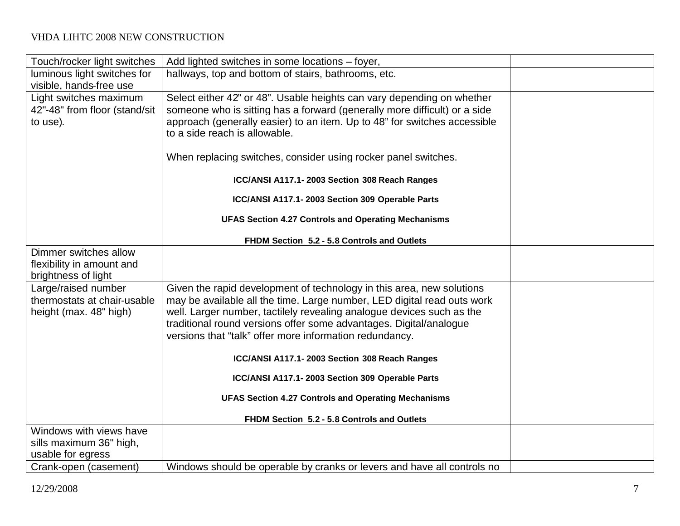| Touch/rocker light switches   | Add lighted switches in some locations – foyer,                           |  |
|-------------------------------|---------------------------------------------------------------------------|--|
| luminous light switches for   | hallways, top and bottom of stairs, bathrooms, etc.                       |  |
| visible, hands-free use       |                                                                           |  |
| Light switches maximum        | Select either 42" or 48". Usable heights can vary depending on whether    |  |
| 42"-48" from floor (stand/sit | someone who is sitting has a forward (generally more difficult) or a side |  |
| to use).                      | approach (generally easier) to an item. Up to 48" for switches accessible |  |
|                               | to a side reach is allowable.                                             |  |
|                               |                                                                           |  |
|                               | When replacing switches, consider using rocker panel switches.            |  |
|                               | ICC/ANSI A117.1-2003 Section 308 Reach Ranges                             |  |
|                               | ICC/ANSI A117.1-2003 Section 309 Operable Parts                           |  |
|                               | <b>UFAS Section 4.27 Controls and Operating Mechanisms</b>                |  |
|                               | FHDM Section 5.2 - 5.8 Controls and Outlets                               |  |
| Dimmer switches allow         |                                                                           |  |
| flexibility in amount and     |                                                                           |  |
| brightness of light           |                                                                           |  |
| Large/raised number           | Given the rapid development of technology in this area, new solutions     |  |
| thermostats at chair-usable   | may be available all the time. Large number, LED digital read outs work   |  |
| height (max. 48" high)        | well. Larger number, tactilely revealing analogue devices such as the     |  |
|                               | traditional round versions offer some advantages. Digital/analogue        |  |
|                               | versions that "talk" offer more information redundancy.                   |  |
|                               | ICC/ANSI A117.1-2003 Section 308 Reach Ranges                             |  |
|                               |                                                                           |  |
|                               | ICC/ANSI A117.1-2003 Section 309 Operable Parts                           |  |
|                               | <b>UFAS Section 4.27 Controls and Operating Mechanisms</b>                |  |
|                               | FHDM Section 5.2 - 5.8 Controls and Outlets                               |  |
| Windows with views have       |                                                                           |  |
| sills maximum 36" high,       |                                                                           |  |
| usable for egress             |                                                                           |  |
| Crank-open (casement)         | Windows should be operable by cranks or levers and have all controls no   |  |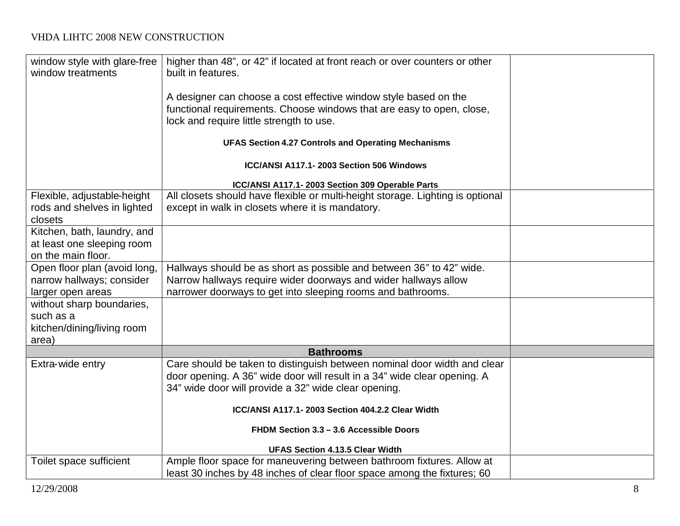| window style with glare-free<br>window treatments | higher than 48", or 42" if located at front reach or over counters or other<br>built in features. |  |
|---------------------------------------------------|---------------------------------------------------------------------------------------------------|--|
|                                                   | A designer can choose a cost effective window style based on the                                  |  |
|                                                   | functional requirements. Choose windows that are easy to open, close,                             |  |
|                                                   | lock and require little strength to use.                                                          |  |
|                                                   | <b>UFAS Section 4.27 Controls and Operating Mechanisms</b>                                        |  |
|                                                   | ICC/ANSI A117.1-2003 Section 506 Windows                                                          |  |
|                                                   | ICC/ANSI A117.1-2003 Section 309 Operable Parts                                                   |  |
| Flexible, adjustable-height                       | All closets should have flexible or multi-height storage. Lighting is optional                    |  |
| rods and shelves in lighted<br>closets            | except in walk in closets where it is mandatory.                                                  |  |
| Kitchen, bath, laundry, and                       |                                                                                                   |  |
| at least one sleeping room                        |                                                                                                   |  |
| on the main floor.                                |                                                                                                   |  |
| Open floor plan (avoid long,                      | Hallways should be as short as possible and between 36" to 42" wide.                              |  |
| narrow hallways; consider                         | Narrow hallways require wider doorways and wider hallways allow                                   |  |
| larger open areas                                 | narrower doorways to get into sleeping rooms and bathrooms.                                       |  |
| without sharp boundaries,                         |                                                                                                   |  |
| such as a                                         |                                                                                                   |  |
| kitchen/dining/living room                        |                                                                                                   |  |
| area)                                             |                                                                                                   |  |
|                                                   | <b>Bathrooms</b>                                                                                  |  |
| Extra-wide entry                                  | Care should be taken to distinguish between nominal door width and clear                          |  |
|                                                   | door opening. A 36" wide door will result in a 34" wide clear opening. A                          |  |
|                                                   | 34" wide door will provide a 32" wide clear opening.                                              |  |
|                                                   | ICC/ANSI A117.1-2003 Section 404.2.2 Clear Width                                                  |  |
|                                                   | FHDM Section 3.3 - 3.6 Accessible Doors                                                           |  |
|                                                   | <b>UFAS Section 4.13.5 Clear Width</b>                                                            |  |
| Toilet space sufficient                           | Ample floor space for maneuvering between bathroom fixtures. Allow at                             |  |
|                                                   | least 30 inches by 48 inches of clear floor space among the fixtures; 60                          |  |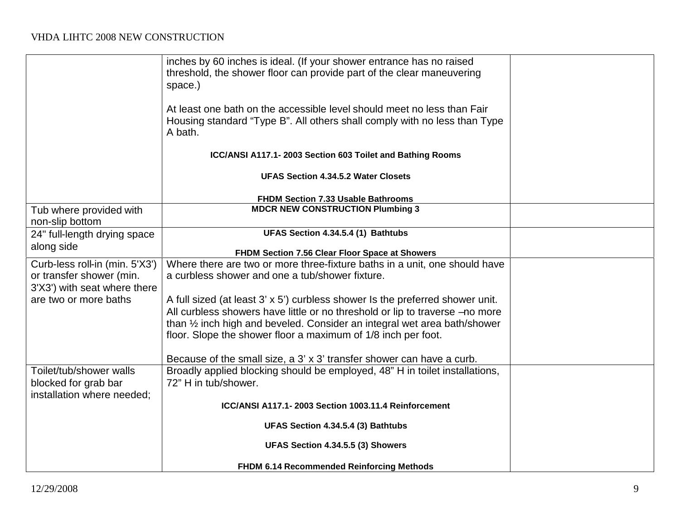|                                | inches by 60 inches is ideal. (If your shower entrance has no raised                 |  |
|--------------------------------|--------------------------------------------------------------------------------------|--|
|                                | threshold, the shower floor can provide part of the clear maneuvering                |  |
|                                | space.)                                                                              |  |
|                                | At least one bath on the accessible level should meet no less than Fair              |  |
|                                |                                                                                      |  |
|                                | Housing standard "Type B". All others shall comply with no less than Type<br>A bath. |  |
|                                |                                                                                      |  |
|                                | ICC/ANSI A117.1-2003 Section 603 Toilet and Bathing Rooms                            |  |
|                                | <b>UFAS Section 4.34.5.2 Water Closets</b>                                           |  |
|                                | <b>FHDM Section 7.33 Usable Bathrooms</b>                                            |  |
| Tub where provided with        | <b>MDCR NEW CONSTRUCTION Plumbing 3</b>                                              |  |
| non-slip bottom                |                                                                                      |  |
| 24" full-length drying space   | UFAS Section 4.34.5.4 (1) Bathtubs                                                   |  |
| along side                     |                                                                                      |  |
|                                | FHDM Section 7.56 Clear Floor Space at Showers                                       |  |
| Curb-less roll-in (min. 5'X3') | Where there are two or more three-fixture baths in a unit, one should have           |  |
| or transfer shower (min.       | a curbless shower and one a tub/shower fixture.                                      |  |
| 3'X3') with seat where there   |                                                                                      |  |
| are two or more baths          | A full sized (at least 3' x 5') curbless shower Is the preferred shower unit.        |  |
|                                | All curbless showers have little or no threshold or lip to traverse -no more         |  |
|                                | than 1/2 inch high and beveled. Consider an integral wet area bath/shower            |  |
|                                | floor. Slope the shower floor a maximum of 1/8 inch per foot.                        |  |
|                                |                                                                                      |  |
|                                | Because of the small size, a 3' x 3' transfer shower can have a curb.                |  |
| Toilet/tub/shower walls        | Broadly applied blocking should be employed, 48" H in toilet installations,          |  |
| blocked for grab bar           | 72" H in tub/shower.                                                                 |  |
| installation where needed;     |                                                                                      |  |
|                                | ICC/ANSI A117.1-2003 Section 1003.11.4 Reinforcement                                 |  |
|                                | UFAS Section 4.34.5.4 (3) Bathtubs                                                   |  |
|                                | UFAS Section 4.34.5.5 (3) Showers                                                    |  |
|                                | FHDM 6.14 Recommended Reinforcing Methods                                            |  |
|                                |                                                                                      |  |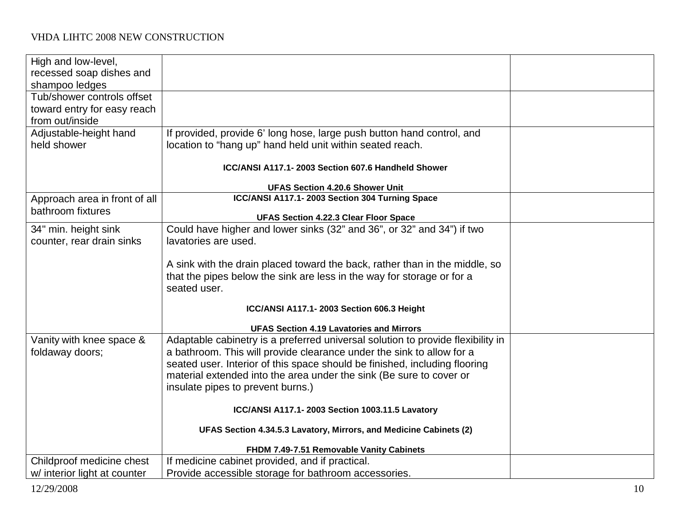| High and low-level,           |                                                                                 |  |
|-------------------------------|---------------------------------------------------------------------------------|--|
| recessed soap dishes and      |                                                                                 |  |
| shampoo ledges                |                                                                                 |  |
| Tub/shower controls offset    |                                                                                 |  |
| toward entry for easy reach   |                                                                                 |  |
| from out/inside               |                                                                                 |  |
| Adjustable-height hand        | If provided, provide 6' long hose, large push button hand control, and          |  |
| held shower                   | location to "hang up" hand held unit within seated reach.                       |  |
|                               | ICC/ANSI A117.1-2003 Section 607.6 Handheld Shower                              |  |
|                               |                                                                                 |  |
|                               | <b>UFAS Section 4.20.6 Shower Unit</b>                                          |  |
| Approach area in front of all | ICC/ANSI A117.1-2003 Section 304 Turning Space                                  |  |
| bathroom fixtures             |                                                                                 |  |
|                               | <b>UFAS Section 4.22.3 Clear Floor Space</b>                                    |  |
| 34" min. height sink          | Could have higher and lower sinks (32" and 36", or 32" and 34") if two          |  |
| counter, rear drain sinks     | lavatories are used.                                                            |  |
|                               |                                                                                 |  |
|                               | A sink with the drain placed toward the back, rather than in the middle, so     |  |
|                               | that the pipes below the sink are less in the way for storage or for a          |  |
|                               | seated user.                                                                    |  |
|                               | ICC/ANSI A117.1-2003 Section 606.3 Height                                       |  |
|                               |                                                                                 |  |
|                               | <b>UFAS Section 4.19 Lavatories and Mirrors</b>                                 |  |
| Vanity with knee space &      | Adaptable cabinetry is a preferred universal solution to provide flexibility in |  |
| foldaway doors;               | a bathroom. This will provide clearance under the sink to allow for a           |  |
|                               | seated user. Interior of this space should be finished, including flooring      |  |
|                               | material extended into the area under the sink (Be sure to cover or             |  |
|                               | insulate pipes to prevent burns.)                                               |  |
|                               | ICC/ANSI A117.1-2003 Section 1003.11.5 Lavatory                                 |  |
|                               | UFAS Section 4.34.5.3 Lavatory, Mirrors, and Medicine Cabinets (2)              |  |
|                               | FHDM 7.49-7.51 Removable Vanity Cabinets                                        |  |
| Childproof medicine chest     | If medicine cabinet provided, and if practical.                                 |  |
| w/ interior light at counter  | Provide accessible storage for bathroom accessories.                            |  |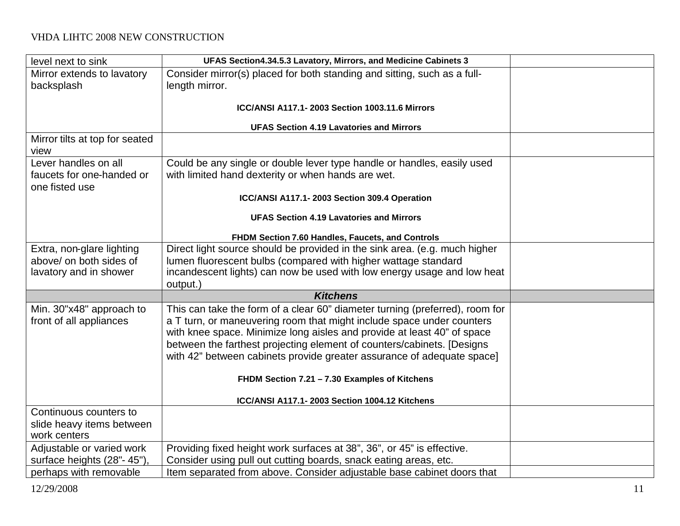| level next to sink                                   | UFAS Section4.34.5.3 Lavatory, Mirrors, and Medicine Cabinets 3                                                                              |  |
|------------------------------------------------------|----------------------------------------------------------------------------------------------------------------------------------------------|--|
| Mirror extends to lavatory                           | Consider mirror(s) placed for both standing and sitting, such as a full-                                                                     |  |
| backsplash                                           | length mirror.                                                                                                                               |  |
|                                                      |                                                                                                                                              |  |
|                                                      | ICC/ANSI A117.1-2003 Section 1003.11.6 Mirrors                                                                                               |  |
|                                                      | <b>UFAS Section 4.19 Lavatories and Mirrors</b>                                                                                              |  |
| Mirror tilts at top for seated                       |                                                                                                                                              |  |
| view                                                 |                                                                                                                                              |  |
| Lever handles on all                                 | Could be any single or double lever type handle or handles, easily used                                                                      |  |
| faucets for one-handed or                            | with limited hand dexterity or when hands are wet.                                                                                           |  |
| one fisted use                                       |                                                                                                                                              |  |
|                                                      | ICC/ANSI A117.1-2003 Section 309.4 Operation                                                                                                 |  |
|                                                      | <b>UFAS Section 4.19 Lavatories and Mirrors</b>                                                                                              |  |
|                                                      |                                                                                                                                              |  |
|                                                      | FHDM Section 7.60 Handles, Faucets, and Controls                                                                                             |  |
| Extra, non-glare lighting<br>above/ on both sides of | Direct light source should be provided in the sink area. (e.g. much higher<br>lumen fluorescent bulbs (compared with higher wattage standard |  |
| lavatory and in shower                               | incandescent lights) can now be used with low energy usage and low heat                                                                      |  |
|                                                      | output.)                                                                                                                                     |  |
|                                                      | <b>Kitchens</b>                                                                                                                              |  |
| Min. 30"x48" approach to                             | This can take the form of a clear 60" diameter turning (preferred), room for                                                                 |  |
| front of all appliances                              | a T turn, or maneuvering room that might include space under counters                                                                        |  |
|                                                      | with knee space. Minimize long aisles and provide at least 40" of space                                                                      |  |
|                                                      | between the farthest projecting element of counters/cabinets. [Designs                                                                       |  |
|                                                      | with 42" between cabinets provide greater assurance of adequate space]                                                                       |  |
|                                                      |                                                                                                                                              |  |
|                                                      | FHDM Section 7.21 - 7.30 Examples of Kitchens                                                                                                |  |
|                                                      | ICC/ANSI A117.1-2003 Section 1004.12 Kitchens                                                                                                |  |
| Continuous counters to                               |                                                                                                                                              |  |
| slide heavy items between                            |                                                                                                                                              |  |
| work centers                                         |                                                                                                                                              |  |
| Adjustable or varied work                            | Providing fixed height work surfaces at 38", 36", or 45" is effective.                                                                       |  |
| surface heights (28"-45")                            | Consider using pull out cutting boards, snack eating areas, etc.                                                                             |  |
| perhaps with removable                               | Item separated from above. Consider adjustable base cabinet doors that                                                                       |  |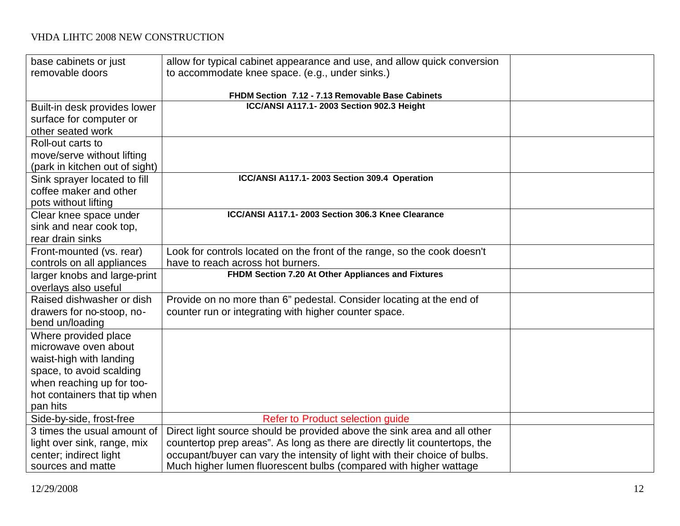| base cabinets or just<br>removable doors | allow for typical cabinet appearance and use, and allow quick conversion<br>to accommodate knee space. (e.g., under sinks.) |  |
|------------------------------------------|-----------------------------------------------------------------------------------------------------------------------------|--|
|                                          |                                                                                                                             |  |
|                                          | FHDM Section 7.12 - 7.13 Removable Base Cabinets                                                                            |  |
| Built-in desk provides lower             | ICC/ANSI A117.1-2003 Section 902.3 Height                                                                                   |  |
| surface for computer or                  |                                                                                                                             |  |
| other seated work                        |                                                                                                                             |  |
| Roll-out carts to                        |                                                                                                                             |  |
| move/serve without lifting               |                                                                                                                             |  |
| (park in kitchen out of sight)           |                                                                                                                             |  |
| Sink sprayer located to fill             | ICC/ANSI A117.1-2003 Section 309.4 Operation                                                                                |  |
| coffee maker and other                   |                                                                                                                             |  |
| pots without lifting                     |                                                                                                                             |  |
| Clear knee space under                   | ICC/ANSI A117.1-2003 Section 306.3 Knee Clearance                                                                           |  |
| sink and near cook top,                  |                                                                                                                             |  |
| rear drain sinks                         |                                                                                                                             |  |
| Front-mounted (vs. rear)                 | Look for controls located on the front of the range, so the cook doesn't                                                    |  |
| controls on all appliances               | have to reach across hot burners.                                                                                           |  |
| larger knobs and large-print             | FHDM Section 7.20 At Other Appliances and Fixtures                                                                          |  |
| overlays also useful                     |                                                                                                                             |  |
| Raised dishwasher or dish                | Provide on no more than 6" pedestal. Consider locating at the end of                                                        |  |
| drawers for no-stoop, no-                | counter run or integrating with higher counter space.                                                                       |  |
| bend un/loading                          |                                                                                                                             |  |
| Where provided place                     |                                                                                                                             |  |
| microwave oven about                     |                                                                                                                             |  |
| waist-high with landing                  |                                                                                                                             |  |
| space, to avoid scalding                 |                                                                                                                             |  |
| when reaching up for too-                |                                                                                                                             |  |
| hot containers that tip when             |                                                                                                                             |  |
| pan hits                                 |                                                                                                                             |  |
| Side-by-side, frost-free                 | Refer to Product selection guide                                                                                            |  |
| 3 times the usual amount of              | Direct light source should be provided above the sink area and all other                                                    |  |
| light over sink, range, mix              | countertop prep areas". As long as there are directly lit countertops, the                                                  |  |
| center; indirect light                   | occupant/buyer can vary the intensity of light with their choice of bulbs.                                                  |  |
| sources and matte                        | Much higher lumen fluorescent bulbs (compared with higher wattage                                                           |  |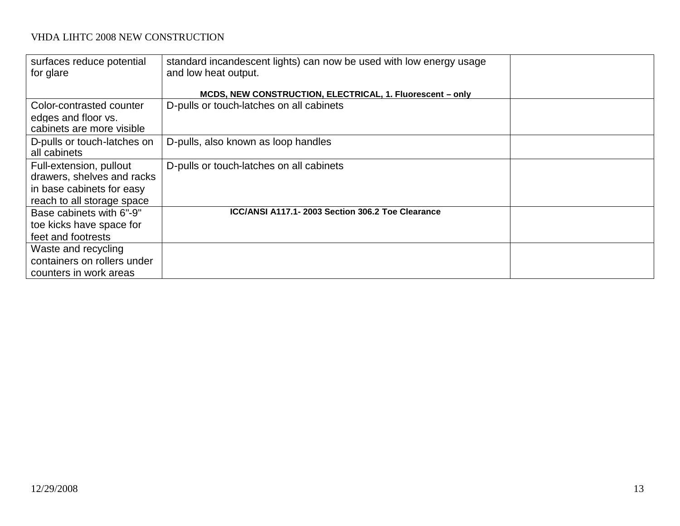| surfaces reduce potential<br>for glare | standard incandescent lights) can now be used with low energy usage<br>and low heat output. |  |
|----------------------------------------|---------------------------------------------------------------------------------------------|--|
|                                        | MCDS, NEW CONSTRUCTION, ELECTRICAL, 1. Fluorescent - only                                   |  |
| Color-contrasted counter               | D-pulls or touch-latches on all cabinets                                                    |  |
| edges and floor vs.                    |                                                                                             |  |
| cabinets are more visible              |                                                                                             |  |
| D-pulls or touch-latches on            | D-pulls, also known as loop handles                                                         |  |
| all cabinets                           |                                                                                             |  |
| Full-extension, pullout                | D-pulls or touch-latches on all cabinets                                                    |  |
| drawers, shelves and racks             |                                                                                             |  |
| in base cabinets for easy              |                                                                                             |  |
| reach to all storage space             |                                                                                             |  |
| Base cabinets with 6"-9"               | ICC/ANSI A117.1-2003 Section 306.2 Toe Clearance                                            |  |
| toe kicks have space for               |                                                                                             |  |
| feet and footrests                     |                                                                                             |  |
| Waste and recycling                    |                                                                                             |  |
| containers on rollers under            |                                                                                             |  |
| counters in work areas                 |                                                                                             |  |